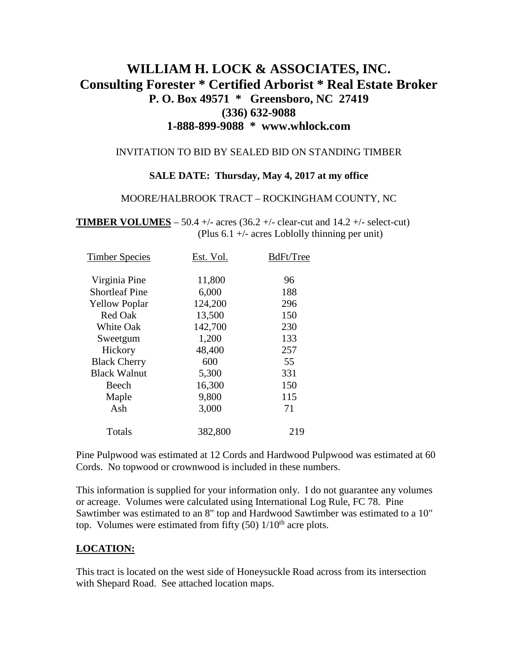# **WILLIAM H. LOCK & ASSOCIATES, INC. Consulting Forester \* Certified Arborist \* Real Estate Broker P. O. Box 49571 \* Greensboro, NC 27419 (336) 632-9088 1-888-899-9088 \* www.whlock.com**

#### INVITATION TO BID BY SEALED BID ON STANDING TIMBER

### **SALE DATE: Thursday, May 4, 2017 at my office**

#### MOORE/HALBROOK TRACT – ROCKINGHAM COUNTY, NC

**TIMBER VOLUMES** – 50.4 +/- acres  $(36.2 +/-$  clear-cut and  $14.2 +/-$  select-cut) (Plus 6.1 +/- acres Loblolly thinning per unit)

| <b>Timber Species</b> | Est. Vol. | BdFt/Tree |
|-----------------------|-----------|-----------|
| Virginia Pine         | 11,800    | 96        |
| <b>Shortleaf Pine</b> | 6,000     | 188       |
| <b>Yellow Poplar</b>  | 124,200   | 296       |
| <b>Red Oak</b>        | 13,500    | 150       |
| <b>White Oak</b>      | 142,700   | 230       |
| Sweetgum              | 1,200     | 133       |
| Hickory               | 48,400    | 257       |
| <b>Black Cherry</b>   | 600       | 55        |
| <b>Black Walnut</b>   | 5,300     | 331       |
| Beech                 | 16,300    | 150       |
| Maple                 | 9,800     | 115       |
| Ash                   | 3,000     | 71        |
| Totals                | 382,800   | 219       |
|                       |           |           |

Pine Pulpwood was estimated at 12 Cords and Hardwood Pulpwood was estimated at 60 Cords. No topwood or crownwood is included in these numbers.

This information is supplied for your information only. I do not guarantee any volumes or acreage. Volumes were calculated using International Log Rule, FC 78. Pine Sawtimber was estimated to an 8" top and Hardwood Sawtimber was estimated to a 10" top. Volumes were estimated from fifty  $(50)$  1/10<sup>th</sup> acre plots.

### **LOCATION:**

This tract is located on the west side of Honeysuckle Road across from its intersection with Shepard Road. See attached location maps.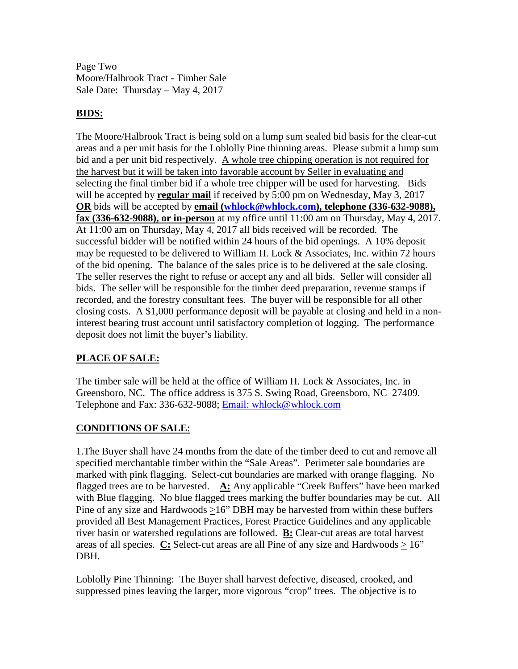Page Two Moore/Halbrook Tract - Timber Sale Sale Date: Thursday – May 4, 2017

### **BIDS:**

The Moore/Halbrook Tract is being sold on a lump sum sealed bid basis for the clear-cut areas and a per unit basis for the Loblolly Pine thinning areas. Please submit a lump sum bid and a per unit bid respectively. A whole tree chipping operation is not required for the harvest but it will be taken into favorable account by Seller in evaluating and selecting the final timber bid if a whole tree chipper will be used for harvesting. Bids will be accepted by **regular mail** if received by 5:00 pm on Wednesday, May 3, 2017 **OR** bids will be accepted by **email** [\(whlock@whlock.com\)](mailto:whlock@whlock.com), telephone (336-632-9088), **fax (336-632-9088), or in-person** at my office until 11:00 am on Thursday, May 4, 2017. At 11:00 am on Thursday, May 4, 2017 all bids received will be recorded. The successful bidder will be notified within 24 hours of the bid openings. A 10% deposit may be requested to be delivered to William H. Lock  $\&$  Associates, Inc. within 72 hours of the bid opening. The balance of the sales price is to be delivered at the sale closing. The seller reserves the right to refuse or accept any and all bids. Seller will consider all bids. The seller will be responsible for the timber deed preparation, revenue stamps if recorded, and the forestry consultant fees. The buyer will be responsible for all other closing costs. A \$1,000 performance deposit will be payable at closing and held in a noninterest bearing trust account until satisfactory completion of logging. The performance deposit does not limit the buyer's liability.

## **PLACE OF SALE:**

The timber sale will be held at the office of William H. Lock & Associates, Inc. in Greensboro, NC. The office address is 375 S. Swing Road, Greensboro, NC 27409. Telephone and Fax: 336-632-9088; [Email: whlock@whlock.com](mailto:Email:%20whlock@whlock.com) 

## **CONDITIONS OF SALE**:

1.The Buyer shall have 24 months from the date of the timber deed to cut and remove all specified merchantable timber within the "Sale Areas". Perimeter sale boundaries are marked with pink flagging. Select-cut boundaries are marked with orange flagging. No flagged trees are to be harvested. **A:** Any applicable "Creek Buffers" have been marked with Blue flagging. No blue flagged trees marking the buffer boundaries may be cut. All Pine of any size and Hardwoods >16" DBH may be harvested from within these buffers provided all Best Management Practices, Forest Practice Guidelines and any applicable river basin or watershed regulations are followed. **B:** Clear-cut areas are total harvest areas of all species.  $C:$  Select-cut areas are all Pine of any size and Hardwoods  $> 16$ " DBH.

Loblolly Pine Thinning: The Buyer shall harvest defective, diseased, crooked, and suppressed pines leaving the larger, more vigorous "crop" trees. The objective is to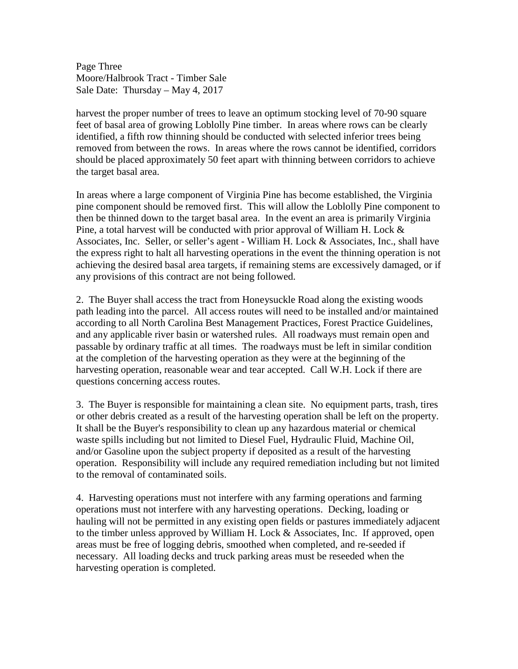Page Three Moore/Halbrook Tract - Timber Sale Sale Date: Thursday – May 4, 2017

harvest the proper number of trees to leave an optimum stocking level of 70-90 square feet of basal area of growing Loblolly Pine timber. In areas where rows can be clearly identified, a fifth row thinning should be conducted with selected inferior trees being removed from between the rows. In areas where the rows cannot be identified, corridors should be placed approximately 50 feet apart with thinning between corridors to achieve the target basal area.

In areas where a large component of Virginia Pine has become established, the Virginia pine component should be removed first. This will allow the Loblolly Pine component to then be thinned down to the target basal area. In the event an area is primarily Virginia Pine, a total harvest will be conducted with prior approval of William H. Lock  $\&$ Associates, Inc. Seller, or seller's agent - William H. Lock & Associates, Inc., shall have the express right to halt all harvesting operations in the event the thinning operation is not achieving the desired basal area targets, if remaining stems are excessively damaged, or if any provisions of this contract are not being followed.

2. The Buyer shall access the tract from Honeysuckle Road along the existing woods path leading into the parcel. All access routes will need to be installed and/or maintained according to all North Carolina Best Management Practices, Forest Practice Guidelines, and any applicable river basin or watershed rules. All roadways must remain open and passable by ordinary traffic at all times. The roadways must be left in similar condition at the completion of the harvesting operation as they were at the beginning of the harvesting operation, reasonable wear and tear accepted. Call W.H. Lock if there are questions concerning access routes.

3. The Buyer is responsible for maintaining a clean site. No equipment parts, trash, tires or other debris created as a result of the harvesting operation shall be left on the property. It shall be the Buyer's responsibility to clean up any hazardous material or chemical waste spills including but not limited to Diesel Fuel, Hydraulic Fluid, Machine Oil, and/or Gasoline upon the subject property if deposited as a result of the harvesting operation. Responsibility will include any required remediation including but not limited to the removal of contaminated soils.

4. Harvesting operations must not interfere with any farming operations and farming operations must not interfere with any harvesting operations. Decking, loading or hauling will not be permitted in any existing open fields or pastures immediately adjacent to the timber unless approved by William H. Lock & Associates, Inc. If approved, open areas must be free of logging debris, smoothed when completed, and re-seeded if necessary. All loading decks and truck parking areas must be reseeded when the harvesting operation is completed.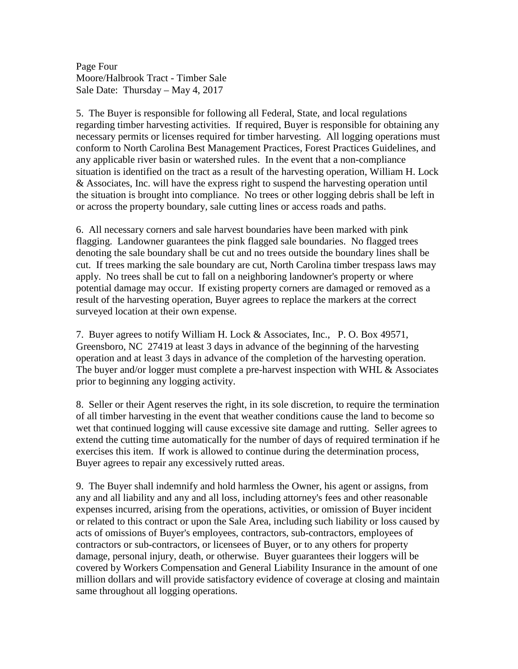Page Four Moore/Halbrook Tract - Timber Sale Sale Date: Thursday – May 4, 2017

5. The Buyer is responsible for following all Federal, State, and local regulations regarding timber harvesting activities. If required, Buyer is responsible for obtaining any necessary permits or licenses required for timber harvesting. All logging operations must conform to North Carolina Best Management Practices, Forest Practices Guidelines, and any applicable river basin or watershed rules. In the event that a non-compliance situation is identified on the tract as a result of the harvesting operation, William H. Lock & Associates, Inc. will have the express right to suspend the harvesting operation until the situation is brought into compliance. No trees or other logging debris shall be left in or across the property boundary, sale cutting lines or access roads and paths.

6. All necessary corners and sale harvest boundaries have been marked with pink flagging. Landowner guarantees the pink flagged sale boundaries. No flagged trees denoting the sale boundary shall be cut and no trees outside the boundary lines shall be cut. If trees marking the sale boundary are cut, North Carolina timber trespass laws may apply. No trees shall be cut to fall on a neighboring landowner's property or where potential damage may occur. If existing property corners are damaged or removed as a result of the harvesting operation, Buyer agrees to replace the markers at the correct surveyed location at their own expense.

7. Buyer agrees to notify William H. Lock & Associates, Inc., P. O. Box 49571, Greensboro, NC 27419 at least 3 days in advance of the beginning of the harvesting operation and at least 3 days in advance of the completion of the harvesting operation. The buyer and/or logger must complete a pre-harvest inspection with WHL  $\&$  Associates prior to beginning any logging activity.

8. Seller or their Agent reserves the right, in its sole discretion, to require the termination of all timber harvesting in the event that weather conditions cause the land to become so wet that continued logging will cause excessive site damage and rutting. Seller agrees to extend the cutting time automatically for the number of days of required termination if he exercises this item. If work is allowed to continue during the determination process, Buyer agrees to repair any excessively rutted areas.

9. The Buyer shall indemnify and hold harmless the Owner, his agent or assigns, from any and all liability and any and all loss, including attorney's fees and other reasonable expenses incurred, arising from the operations, activities, or omission of Buyer incident or related to this contract or upon the Sale Area, including such liability or loss caused by acts of omissions of Buyer's employees, contractors, sub-contractors, employees of contractors or sub-contractors, or licensees of Buyer, or to any others for property damage, personal injury, death, or otherwise. Buyer guarantees their loggers will be covered by Workers Compensation and General Liability Insurance in the amount of one million dollars and will provide satisfactory evidence of coverage at closing and maintain same throughout all logging operations.